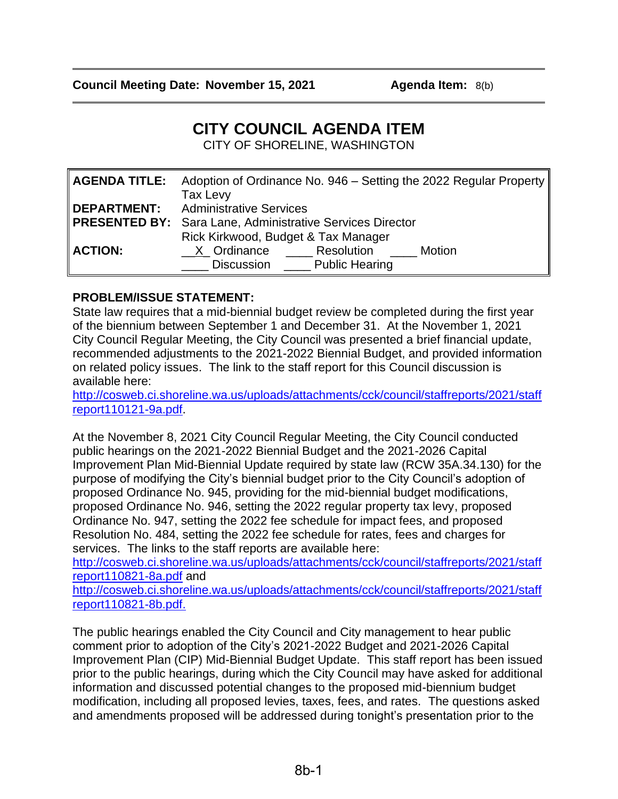# **CITY COUNCIL AGENDA ITEM**

CITY OF SHORELINE, WASHINGTON

|                | <b>AGENDA TITLE:</b> Adoption of Ordinance No. 946 – Setting the 2022 Regular Property |
|----------------|----------------------------------------------------------------------------------------|
|                | Tax Levy                                                                               |
|                | <b>DEPARTMENT:</b> Administrative Services                                             |
|                | <b>PRESENTED BY:</b> Sara Lane, Administrative Services Director                       |
|                | Rick Kirkwood, Budget & Tax Manager                                                    |
| <b>ACTION:</b> | X Ordinance Resolution<br>Motion                                                       |
|                | Discussion Public Hearing                                                              |

## **PROBLEM/ISSUE STATEMENT:**

State law requires that a mid-biennial budget review be completed during the first year of the biennium between September 1 and December 31. At the November 1, 2021 City Council Regular Meeting, the City Council was presented a brief financial update, recommended adjustments to the 2021-2022 Biennial Budget, and provided information on related policy issues. The link to the staff report for this Council discussion is available here:

[http://cosweb.ci.shoreline.wa.us/uploads/attachments/cck/council/staffreports/2021/staff](http://cosweb.ci.shoreline.wa.us/uploads/attachments/cck/council/staffreports/2021/staffreport110121-9a.pdf) [report110121-9a.pdf.](http://cosweb.ci.shoreline.wa.us/uploads/attachments/cck/council/staffreports/2021/staffreport110121-9a.pdf)

At the November 8, 2021 City Council Regular Meeting, the City Council conducted public hearings on the 2021-2022 Biennial Budget and the 2021-2026 Capital Improvement Plan Mid-Biennial Update required by state law (RCW 35A.34.130) for the purpose of modifying the City's biennial budget prior to the City Council's adoption of proposed Ordinance No. 945, providing for the mid-biennial budget modifications, proposed Ordinance No. 946, setting the 2022 regular property tax levy, proposed Ordinance No. 947, setting the 2022 fee schedule for impact fees, and proposed Resolution No. 484, setting the 2022 fee schedule for rates, fees and charges for services. The links to the staff reports are available here:

[http://cosweb.ci.shoreline.wa.us/uploads/attachments/cck/council/staffreports/2021/staff](http://cosweb.ci.shoreline.wa.us/uploads/attachments/cck/council/staffreports/2021/staffreport110821-8a.pdf) [report110821-8a.pdf](http://cosweb.ci.shoreline.wa.us/uploads/attachments/cck/council/staffreports/2021/staffreport110821-8a.pdf) and

[http://cosweb.ci.shoreline.wa.us/uploads/attachments/cck/council/staffreports/2021/staff](http://cosweb.ci.shoreline.wa.us/uploads/attachments/cck/council/staffreports/2021/staffreport110821-8b.pdf) [report110821-8b.pdf.](http://cosweb.ci.shoreline.wa.us/uploads/attachments/cck/council/staffreports/2021/staffreport110821-8b.pdf)

The public hearings enabled the City Council and City management to hear public comment prior to adoption of the City's 2021-2022 Budget and 2021-2026 Capital Improvement Plan (CIP) Mid-Biennial Budget Update. This staff report has been issued prior to the public hearings, during which the City Council may have asked for additional information and discussed potential changes to the proposed mid-biennium budget modification, including all proposed levies, taxes, fees, and rates. The questions asked and amendments proposed will be addressed during tonight's presentation prior to the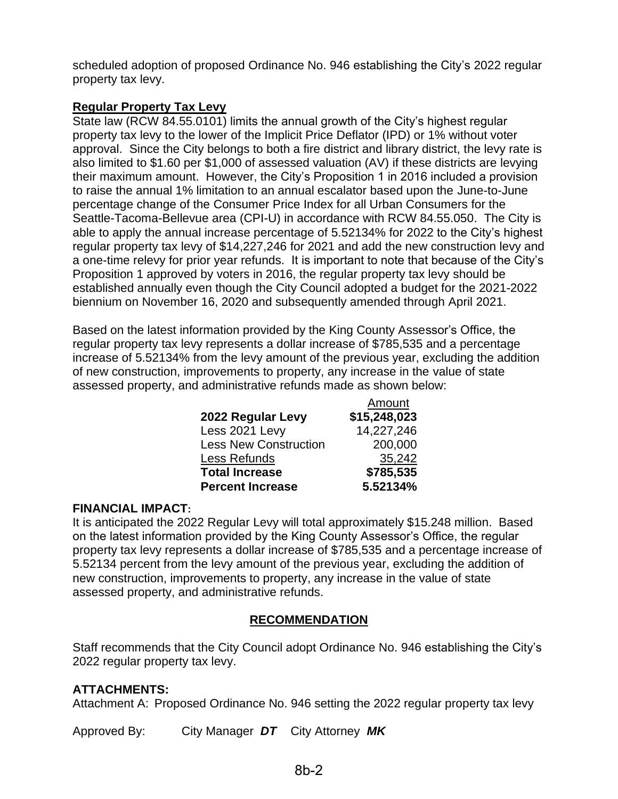scheduled adoption of proposed Ordinance No. 946 establishing the City's 2022 regular property tax levy.

# **Regular Property Tax Levy**

State law (RCW 84.55.0101) limits the annual growth of the City's highest regular property tax levy to the lower of the Implicit Price Deflator (IPD) or 1% without voter approval. Since the City belongs to both a fire district and library district, the levy rate is also limited to \$1.60 per \$1,000 of assessed valuation (AV) if these districts are levying their maximum amount. However, the City's Proposition 1 in 2016 included a provision to raise the annual 1% limitation to an annual escalator based upon the June-to-June percentage change of the Consumer Price Index for all Urban Consumers for the Seattle-Tacoma-Bellevue area (CPI-U) in accordance with RCW 84.55.050. The City is able to apply the annual increase percentage of 5.52134% for 2022 to the City's highest regular property tax levy of \$14,227,246 for 2021 and add the new construction levy and a one-time relevy for prior year refunds. It is important to note that because of the City's Proposition 1 approved by voters in 2016, the regular property tax levy should be established annually even though the City Council adopted a budget for the 2021-2022 biennium on November 16, 2020 and subsequently amended through April 2021.

Based on the latest information provided by the King County Assessor's Office, the regular property tax levy represents a dollar increase of \$785,535 and a percentage increase of 5.52134% from the levy amount of the previous year, excluding the addition of new construction, improvements to property, any increase in the value of state assessed property, and administrative refunds made as shown below:

|                              | Amount       |
|------------------------------|--------------|
| 2022 Regular Levy            | \$15,248,023 |
| Less 2021 Levy               | 14,227,246   |
| <b>Less New Construction</b> | 200,000      |
| Less Refunds                 | 35,242       |
| <b>Total Increase</b>        | \$785,535    |
| <b>Percent Increase</b>      | 5.52134%     |

## **FINANCIAL IMPACT:**

It is anticipated the 2022 Regular Levy will total approximately \$15.248 million. Based on the latest information provided by the King County Assessor's Office, the regular property tax levy represents a dollar increase of \$785,535 and a percentage increase of 5.52134 percent from the levy amount of the previous year, excluding the addition of new construction, improvements to property, any increase in the value of state assessed property, and administrative refunds.

# **RECOMMENDATION**

Staff recommends that the City Council adopt Ordinance No. 946 establishing the City's 2022 regular property tax levy.

# **ATTACHMENTS:**

Attachment A: Proposed Ordinance No. 946 setting the 2022 regular property tax levy

Approved By: City Manager *DT* City Attorney *MK*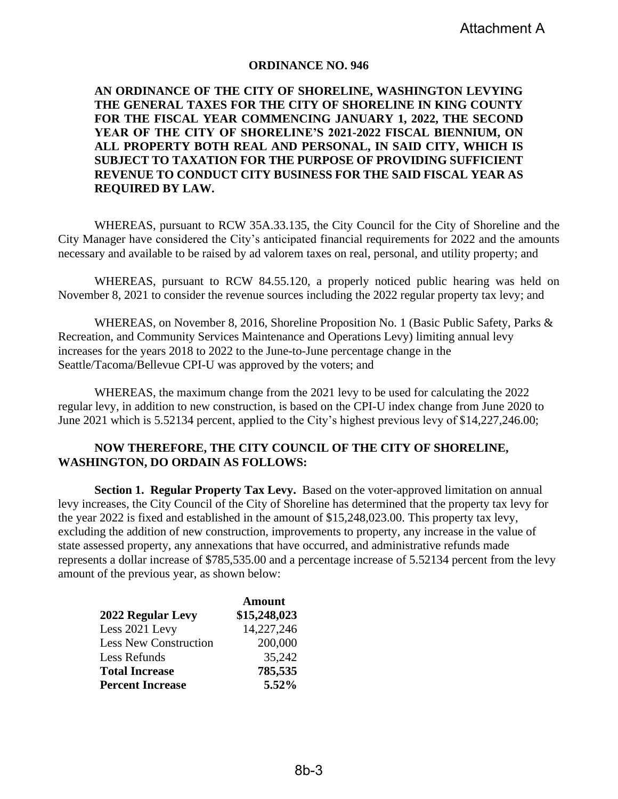#### **ORDINANCE NO. 946**

### **AN ORDINANCE OF THE CITY OF SHORELINE, WASHINGTON LEVYING THE GENERAL TAXES FOR THE CITY OF SHORELINE IN KING COUNTY FOR THE FISCAL YEAR COMMENCING JANUARY 1, 2022, THE SECOND YEAR OF THE CITY OF SHORELINE'S 2021-2022 FISCAL BIENNIUM, ON ALL PROPERTY BOTH REAL AND PERSONAL, IN SAID CITY, WHICH IS SUBJECT TO TAXATION FOR THE PURPOSE OF PROVIDING SUFFICIENT REVENUE TO CONDUCT CITY BUSINESS FOR THE SAID FISCAL YEAR AS REQUIRED BY LAW.**

WHEREAS, pursuant to RCW 35A.33.135, the City Council for the City of Shoreline and the City Manager have considered the City's anticipated financial requirements for 2022 and the amounts necessary and available to be raised by ad valorem taxes on real, personal, and utility property; and

WHEREAS, pursuant to RCW 84.55.120, a properly noticed public hearing was held on November 8, 2021 to consider the revenue sources including the 2022 regular property tax levy; and

WHEREAS, on November 8, 2016, Shoreline Proposition No. 1 (Basic Public Safety, Parks & Recreation, and Community Services Maintenance and Operations Levy) limiting annual levy increases for the years 2018 to 2022 to the June-to-June percentage change in the Seattle/Tacoma/Bellevue CPI-U was approved by the voters; and

WHEREAS, the maximum change from the 2021 levy to be used for calculating the 2022 regular levy, in addition to new construction, is based on the CPI-U index change from June 2020 to June 2021 which is 5.52134 percent, applied to the City's highest previous levy of \$14,227,246.00;

#### **NOW THEREFORE, THE CITY COUNCIL OF THE CITY OF SHORELINE, WASHINGTON, DO ORDAIN AS FOLLOWS:**

**Section 1. Regular Property Tax Levy.** Based on the voter-approved limitation on annual levy increases, the City Council of the City of Shoreline has determined that the property tax levy for the year 2022 is fixed and established in the amount of \$15,248,023.00. This property tax levy, excluding the addition of new construction, improvements to property, any increase in the value of state assessed property, any annexations that have occurred, and administrative refunds made represents a dollar increase of \$785,535.00 and a percentage increase of 5.52134 percent from the levy amount of the previous year, as shown below:

|                              | <b>Amount</b> |
|------------------------------|---------------|
| 2022 Regular Levy            | \$15,248,023  |
| Less 2021 Levy               | 14,227,246    |
| <b>Less New Construction</b> | 200,000       |
| Less Refunds                 | 35,242        |
| <b>Total Increase</b>        | 785,535       |
| <b>Percent Increase</b>      | 5.52%         |